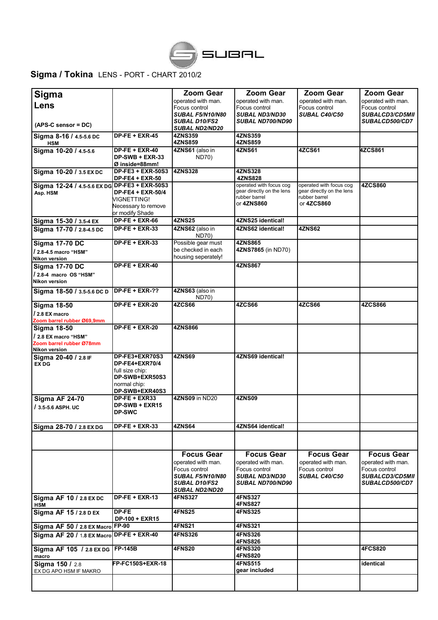

## **Sigma / Tokina** LENS - PORT - CHART 2010/2

| <b>Sigma</b>                                     |                                         | <b>Zoom Gear</b>                         | <b>Zoom Gear</b>                                     | <b>Zoom Gear</b>                           | Zoom Gear                        |
|--------------------------------------------------|-----------------------------------------|------------------------------------------|------------------------------------------------------|--------------------------------------------|----------------------------------|
| Lens                                             |                                         | operated with man.                       | operated with man.                                   | operated with man.                         | operated with man.               |
|                                                  |                                         | Focus control<br><b>SUBAL F5/N10/N80</b> | Focus control<br><b>SUBAL ND3/ND30</b>               | Focus control<br><b>SUBAL C40/C50</b>      | Focus control<br>SUBALCD3/CD5MII |
| $(APS-C sensor = DC)$                            |                                         | <b>SUBAL D10/FS2</b>                     | SUBAL ND700/ND90                                     |                                            | SUBALCD500/CD7                   |
| Sigma 8-16 / 4.5-5.6 DC                          | $DP-FE + EXR-45$                        | <b>SUBAL ND2/ND20</b><br><b>4ZNS359</b>  | 4ZNS359                                              |                                            |                                  |
| <b>HSM</b>                                       |                                         | <b>4ZNS859</b>                           | <b>4ZNS859</b>                                       |                                            |                                  |
| Sigma 10-20 / 4.5-5.6                            | DP-FE + EXR-40                          | 4ZNS61 (also in                          | 4ZNS61                                               | <b>4ZCS61</b>                              | 4ZCS861                          |
|                                                  | DP-SWB + EXR-33<br>Ø inside=88mm!       | <b>ND70)</b>                             |                                                      |                                            |                                  |
| Sigma 10-20 / 3.5 EX DC                          | <b>DP-FE3 + EXR-50S3</b>                | <b>4ZNS328</b>                           | <b>4ZNS328</b>                                       |                                            |                                  |
|                                                  | <b>DP-FE4 + EXR-50</b>                  |                                          | <b>4ZNS828</b>                                       |                                            |                                  |
| Sigma 12-24 / 4.5-5.6 EX DG DP-FE3 + EXR-50S3    |                                         |                                          | operated with focus cog<br>gear directly on the lens | operated with focus cog                    | <b>4ZCS860</b>                   |
| Asp. HSM                                         | <b>DP-FE4 + EXR-50/4</b><br>VIGNETTING! |                                          | rubber barrel                                        | gear directly on the lens<br>rubber barrel |                                  |
|                                                  | Necessary to remove                     |                                          | or 4ZNS860                                           | or 4ZCS860                                 |                                  |
|                                                  | or modify Shade                         |                                          |                                                      |                                            |                                  |
| Sigma 15-30 / 3.5-4 EX                           | $DP-FE + EXR-66$                        | <b>4ZNS25</b>                            | 4ZNS25 identical!                                    |                                            |                                  |
| Sigma 17-70 / 2.8-4.5 DC                         | <b>DP-FE + EXR-33</b>                   | 4ZNS62 (also in<br>ND70)                 | 4ZNS62 identical!                                    | 4ZNS62                                     |                                  |
| <b>Sigma 17-70 DC</b>                            | DP-FE + EXR-33                          | Possible gear must                       | <b>4ZNS865</b>                                       |                                            |                                  |
| / 2.8-4.5 macro "HSM"                            |                                         | be checked in each                       | 4ZNS7865 (in ND70)                                   |                                            |                                  |
| Nikon version                                    |                                         | housing seperately!                      |                                                      |                                            |                                  |
| <b>Sigma 17-70 DC</b>                            | $DP-FE + EXR-40$                        |                                          | <b>4ZNS867</b>                                       |                                            |                                  |
| / 2.8-4 macro OS "HSM"<br><b>Nikon version</b>   |                                         |                                          |                                                      |                                            |                                  |
| Sigma 18-50 / 3.5-5.6 DC D                       | DP-FE + EXR-??                          | 4ZNS63 (also in<br><b>ND70)</b>          |                                                      |                                            |                                  |
| <b>Sigma 18-50</b>                               | $DP-FE + EXR-20$                        | <b>4ZCS66</b>                            | <b>4ZCS66</b>                                        | <b>4ZCS66</b>                              | <b>4ZCS866</b>                   |
| / 2.8 EX macro                                   |                                         |                                          |                                                      |                                            |                                  |
| Zoom barrel rubber Ø69,9mm                       |                                         |                                          |                                                      |                                            |                                  |
| <b>Sigma 18-50</b>                               | $DP-FE + EXR-20$                        | <b>4ZNS866</b>                           |                                                      |                                            |                                  |
| / 2.8 EX macro "HSM"<br>Zoom barrel rubber Ø78mm |                                         |                                          |                                                      |                                            |                                  |
| Nikon version                                    |                                         |                                          |                                                      |                                            |                                  |
| Sigma 20-40 / 2.8 IF                             | DP-FE3+EXR70S3                          | 4ZNS69                                   | 4ZNS69 identical!                                    |                                            |                                  |
| <b>EX DG</b>                                     | DP-FE4+EXR70/4<br>full size chip:       |                                          |                                                      |                                            |                                  |
|                                                  | DP-SWB+EXR50S3                          |                                          |                                                      |                                            |                                  |
|                                                  | normal chip:                            |                                          |                                                      |                                            |                                  |
|                                                  | DP-SWB+EXR40S3                          |                                          |                                                      |                                            |                                  |
| <b>Sigma AF 24-70</b>                            | DP-FE + EXR33<br>DP-SWB + EXR15         | 4ZNS09 in ND20                           | <b>4ZNS09</b>                                        |                                            |                                  |
| / 3.5-5.6 ASPH, UC                               | <b>DP-SWC</b>                           |                                          |                                                      |                                            |                                  |
|                                                  |                                         |                                          |                                                      |                                            |                                  |
| Sigma 28-70 / 2.8 EX DG                          | <b>DP-FE + EXR-33</b>                   | <b>4ZNS64</b>                            | 4ZNS64 identical!                                    |                                            |                                  |
|                                                  |                                         |                                          |                                                      |                                            |                                  |
|                                                  |                                         |                                          |                                                      |                                            |                                  |
|                                                  |                                         | <b>Focus Gear</b>                        | <b>Focus Gear</b>                                    | <b>Focus Gear</b>                          | <b>Focus Gear</b>                |
|                                                  |                                         | operated with man.                       | operated with man.                                   | operated with man.                         | operated with man.               |
|                                                  |                                         | Focus control<br><b>SUBAL F5/N10/N80</b> | Focus control<br><b>SUBAL ND3/ND30</b>               | Focus control<br>SUBAL C40/C50             | Focus control<br>SUBALCD3/CD5MII |
|                                                  |                                         | <b>SUBAL D10/FS2</b>                     | <b>SUBAL ND700/ND90</b>                              |                                            | SUBALCD500/CD7                   |
|                                                  |                                         | <b>SUBAL ND2/ND20</b>                    |                                                      |                                            |                                  |
| Sigma AF 10 / 2.8 EX DC<br><b>HSM</b>            | $DP-FE + EXR-13$                        | 4FNS327                                  | <b>4FNS327</b><br><b>4FNS827</b>                     |                                            |                                  |
| Sigma AF 15 / 2.8 D EX                           | DP-FE                                   | <b>4FNS25</b>                            | <b>4FNS325</b>                                       |                                            |                                  |
|                                                  | DP-100 + EXR15<br>FP-90                 |                                          |                                                      |                                            |                                  |
| Sigma AF 50 / 2.8 EX Macro                       |                                         | 4FNS21                                   | <b>4FNS321</b>                                       |                                            |                                  |
| Sigma AF 20 / 1.8 EX Macro DP-FE + EXR-40        |                                         | <b>4FNS326</b>                           | <b>4FNS326</b><br><b>4FNS826</b>                     |                                            |                                  |
| Sigma AF 105 / 2.8 EX DG   FP-145B<br>macro      |                                         | <b>4FNS20</b>                            | <b>4FNS320</b><br><b>4FNS820</b>                     |                                            | <b>4FCS820</b>                   |
| Sigma 150 / 2.8                                  | FP-FC150S+EXR-18                        |                                          | <b>4FNS515</b>                                       |                                            | identical                        |
| EX DG APO HSM IF MAKRO                           |                                         |                                          | gear included                                        |                                            |                                  |
|                                                  |                                         |                                          |                                                      |                                            |                                  |
|                                                  |                                         |                                          |                                                      |                                            |                                  |